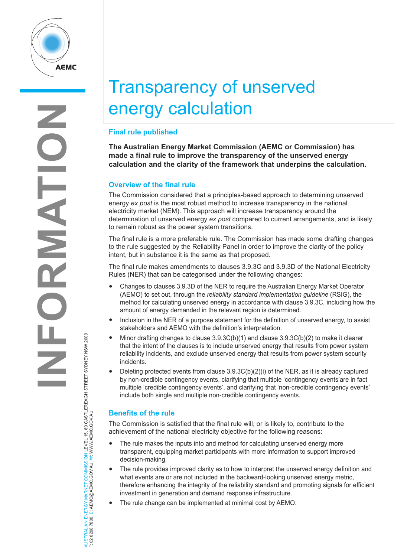

# Transparency of unserved energy calculation

## **Final rule published**

**The Australian Energy Market Commission (AEMC or Commission) has made a final rule to improve the transparency of the unserved energy calculation and the clarity of the framework that underpins the calculation.**

### **Overview of the final rule**

The Commission considered that a principles-based approach to determining unserved energy *ex post* is the most robust method to increase transparency in the national electricity market (NEM). This approach will increase transparency around the determination of unserved energy *ex post* compared to current arrangements, and is likely to remain robust as the power system transitions.

The final rule is a more preferable rule. The Commission has made some drafting changes to the rule suggested by the Reliability Panel in order to improve the clarity of the policy intent, but in substance it is the same as that proposed.

The final rule makes amendments to clauses 3.9.3C and 3.9.3D of the National Electricity Rules (NER) that can be categorised under the following changes:

- Changes to clauses 3.9.3D of the NER to require the Australian Energy Market Operator (AEMO) to set out, through the *reliability standard implementation guideline* (RSIG), the method for calculating unserved energy in accordance with clause 3.9.3C, including how the amount of energy demanded in the relevant region is determined.
- Inclusion in the NER of a purpose statement for the definition of unserved energy, to assist stakeholders and AEMO with the definition's interpretation.
- Minor drafting changes to clause  $3.9.3C(b)(1)$  and clause  $3.9.3C(b)(2)$  to make it clearer that the intent of the clauses is to include unserved energy that results from power system reliability incidents, and exclude unserved energy that results from power system security incidents.
- Deleting protected events from clause  $3.9.3C(b)(2)(i)$  of the NER, as it is already captured by non-credible contingency events, clarifying that multiple 'contingency events'are in fact multiple 'credible contingency events', and clarifying that 'non-credible contingency events' include both single and multiple non-credible contingency events.

## **Benefits of the rule**

AUSTRALIAN ENERGY MARKET COMMISSION LEVEL 15, 60 CASTLEREAGH STREET SYDNEY NSW 2000

AUSTRALIAN ENERGY MARKET COMMISSION LEVEL 15, 60 CASTLEREAGH STREET SYDNEY NSW 2000<br>T: 02 8296 7800 E: AEMC@AEMC.GOV.AU W: WWW.AEMC.GOV.AU

T: 02 8296 7800 E: AEMC@AEMC.GOV.AU W: WWW.AEMC.GOV.AU

The Commission is satisfied that the final rule will, or is likely to, contribute to the achievement of the national electricity objective for the following reasons:

- The rule makes the inputs into and method for calculating unserved energy more transparent, equipping market participants with more information to support improved decision-making.
- The rule provides improved clarity as to how to interpret the unserved energy definition and what events are or are not included in the backward-looking unserved energy metric, therefore enhancing the integrity of the reliability standard and promoting signals for efficient investment in generation and demand response infrastructure.
- The rule change can be implemented at minimal cost by AEMO.